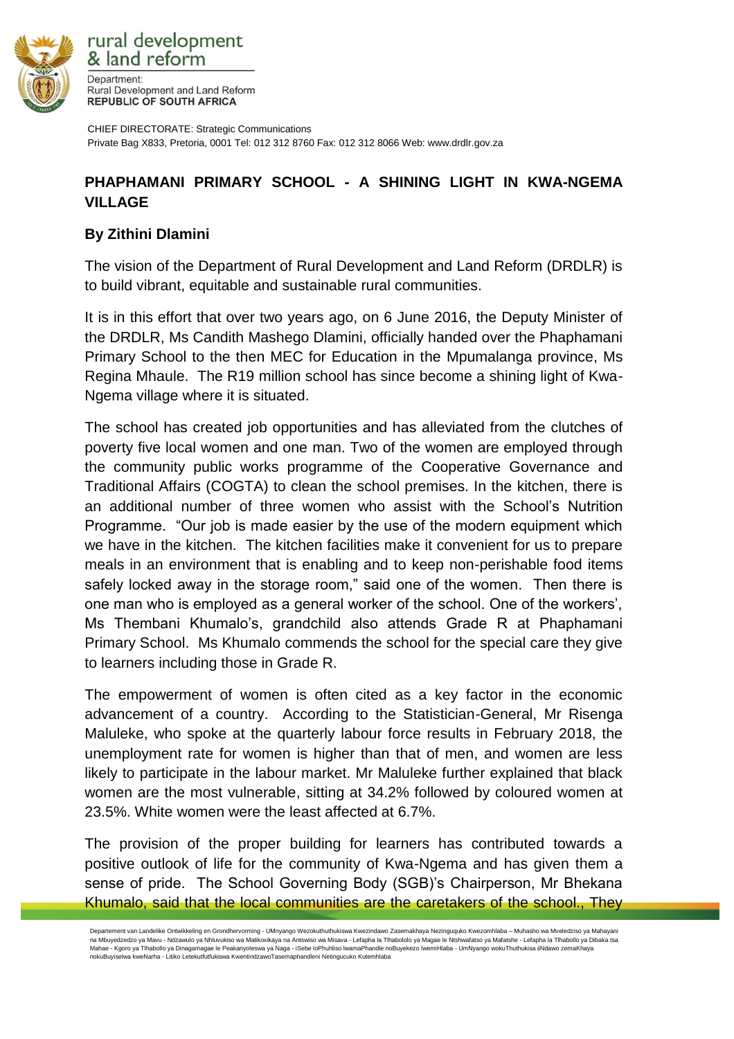

rural development & land reform Department: Rural Development and Land Reform **REPUBLIC OF SOUTH AFRICA** 

CHIEF DIRECTORATE: Strategic Communications Private Bag X833, Pretoria, 0001 Tel: 012 312 8760 Fax: 012 312 8066 Web: www.drdlr.gov.za

## **PHAPHAMANI PRIMARY SCHOOL - A SHINING LIGHT IN KWA-NGEMA VILLAGE**

## **By Zithini Dlamini**

The vision of the Department of Rural Development and Land Reform (DRDLR) is to build vibrant, equitable and sustainable rural communities.

It is in this effort that over two years ago, on 6 June 2016, the Deputy Minister of the DRDLR, Ms Candith Mashego Dlamini, officially handed over the Phaphamani Primary School to the then MEC for Education in the Mpumalanga province, Ms Regina Mhaule. The R19 million school has since become a shining light of Kwa-Ngema village where it is situated.

The school has created job opportunities and has alleviated from the clutches of poverty five local women and one man. Two of the women are employed through the community public works programme of the Cooperative Governance and Traditional Affairs (COGTA) to clean the school premises. In the kitchen, there is an additional number of three women who assist with the School's Nutrition Programme. "Our job is made easier by the use of the modern equipment which we have in the kitchen. The kitchen facilities make it convenient for us to prepare meals in an environment that is enabling and to keep non-perishable food items safely locked away in the storage room," said one of the women. Then there is one man who is employed as a general worker of the school. One of the workers', Ms Thembani Khumalo's, grandchild also attends Grade R at Phaphamani Primary School. Ms Khumalo commends the school for the special care they give to learners including those in Grade R.

The empowerment of women is often cited as a key factor in the economic advancement of a country. According to the Statistician-General, Mr Risenga Maluleke, who spoke at the quarterly labour force results in February 2018, the unemployment rate for women is higher than that of men, and women are less likely to participate in the labour market. Mr Maluleke further explained that black women are the most vulnerable, sitting at 34.2% followed by coloured women at 23.5%. White women were the least affected at 6.7%.

The provision of the proper building for learners has contributed towards a positive outlook of life for the community of Kwa-Ngema and has given them a sense of pride. The School Governing Body (SGB)'s Chairperson, Mr Bhekana Khumalo, said that the local communities are the caretakers of the school., They

Departement van Landelike Ontwikkeling en Grondhervorming - UMnyango Wezokuthuthukiswa Kwezindawo Zasemakhaya Nezinguquko Kwezomhlaba – Muhasho wa Mveledziso ya Mahayani na Mbuyedzedzo ya Mavu - Ndzawulo ya Nhluvukiso wa Matikoxikaya na Antswiso wa Misava - Lefapha la Tlhabololo ya Magae le Ntshwafatso ya Mafatshe - Lefapha la Tlhabollo ya Dibaka tsa Mahae - Kgoro ya Tlhabollo ya Dinagamagae le Peakanyoleswa ya Naga - iSebe loPhuhliso lwamaPhandle noBuyekezo lwemiHlaba - UmNyango wokuThuthukisa iiNdawo zemaKhaya nokuBuyiselwa kweNarha - Litiko Letekutfutfukiswa KwentindzawoTasemaphandleni Netingucuko Kutemhlaba